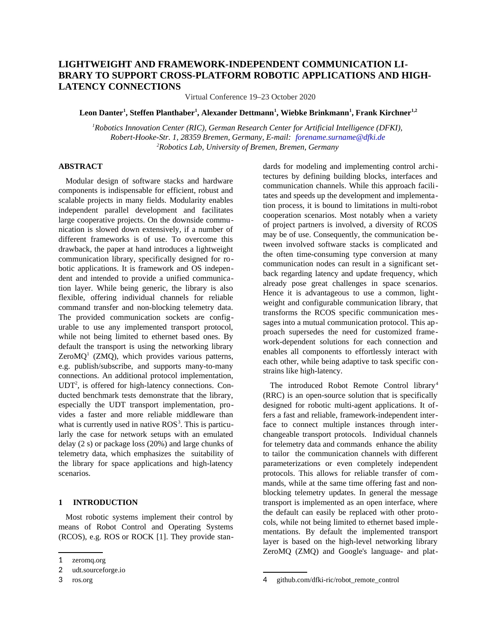# **LIGHTWEIGHT AND FRAMEWORK-INDEPENDENT COMMUNICATION LI-BRARY TO SUPPORT CROSS-PLATFORM ROBOTIC APPLICATIONS AND HIGH-LATENCY CONNECTIONS**

Virtual Conference 19–23 October 2020

## **Leon Danter<sup>1</sup> , Steffen Planthaber<sup>1</sup> , Alexander Dettmann<sup>1</sup> , Wiebke Brinkmann<sup>1</sup> , Frank Kirchner1,2**

*<sup>1</sup>Robotics Innovation Center (RIC), German Research Center for Artificial Intelligence (DFKI), Robert-Hooke-Str. 1, 28359 Bremen, Germany, E-mail: forename.surname@dfki.de <sup>2</sup>Robotics Lab, University of Bremen, Bremen, Germany*

## **ABSTRACT**

Modular design of software stacks and hardware components is indispensable for efficient, robust and scalable projects in many fields. Modularity enables independent parallel development and facilitates large cooperative projects. On the downside communication is slowed down extensively, if a number of different frameworks is of use. To overcome this drawback, the paper at hand introduces a lightweight communication library, specifically designed for robotic applications. It is framework and OS independent and intended to provide a unified communication layer. While being generic, the library is also flexible, offering individual channels for reliable command transfer and non-blocking telemetry data. The provided communication sockets are configurable to use any implemented transport protocol, while not being limited to ethernet based ones. By default the transport is using the networking library Zero $MQ<sup>1</sup>$  (ZMQ), which provides various patterns, e.g. publish/subscribe, and supports many-to-many connections. An additional protocol implementation,  $UDT<sup>2</sup>$ , is offered for high-latency connections. Conducted benchmark tests demonstrate that the library, especially the UDT transport implementation, provides a faster and more reliable middleware than what is currently used in native  $ROS<sup>3</sup>$ . This is particularly the case for network setups with an emulated delay (2 s) or package loss (20%) and large chunks of telemetry data, which emphasizes the suitability of the library for space applications and high-latency scenarios.

## **1 INTRODUCTION**

Most robotic systems implement their control by means of Robot Control and Operating Systems (RCOS), e.g. ROS or ROCK [1]. They provide standards for modeling and implementing control architectures by defining building blocks, interfaces and communication channels. While this approach facilitates and speeds up the development and implementation process, it is bound to limitations in multi-robot cooperation scenarios. Most notably when a variety of project partners is involved, a diversity of RCOS may be of use. Consequently, the communication between involved software stacks is complicated and the often time-consuming type conversion at many communication nodes can result in a significant setback regarding latency and update frequency, which already pose great challenges in space scenarios. Hence it is advantageous to use a common, lightweight and configurable communication library, that transforms the RCOS specific communication messages into a mutual communication protocol. This approach supersedes the need for customized framework-dependent solutions for each connection and enables all components to effortlessly interact with each other, while being adaptive to task specific constrains like high-latency.

The introduced Robot Remote Control library<sup>4</sup> (RRC) is an open-source solution that is specifically designed for robotic multi-agent applications. It offers a fast and reliable, framework-independent interface to connect multiple instances through interchangeable transport protocols. Individual channels for telemetry data and commands enhance the ability to tailor the communication channels with different parameterizations or even completely independent protocols. This allows for reliable transfer of commands, while at the same time offering fast and nonblocking telemetry updates. In general the message transport is implemented as an open interface, where the default can easily be replaced with other protocols, while not being limited to ethernet based implementations. By default the implemented transport layer is based on the high-level networking library ZeroMQ (ZMQ) and Google's language- and plat-

<sup>1</sup> zeromq.org

<sup>2</sup> udt.sourceforge.io

<sup>3</sup> ros.org

github.com/dfki-ric/robot\_remote\_control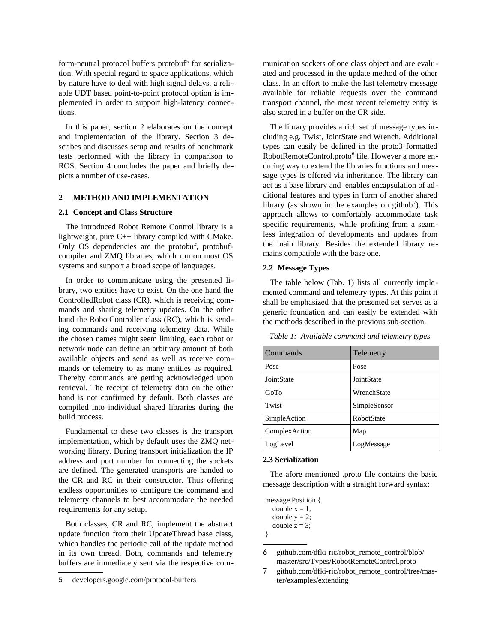form-neutral protocol buffers protobuf<sup>5</sup> for serialization. With special regard to space applications, which by nature have to deal with high signal delays, a reliable UDT based point-to-point protocol option is implemented in order to support high-latency connections.

In this paper, section 2 elaborates on the concept and implementation of the library. Section 3 describes and discusses setup and results of benchmark tests performed with the library in comparison to ROS. Section 4 concludes the paper and briefly depicts a number of use-cases.

## **2 METHOD AND IMPLEMENTATION**

### **2.1 Concept and Class Structure**

The introduced Robot Remote Control library is a lightweight, pure C++ library compiled with CMake. Only OS dependencies are the protobuf, protobufcompiler and ZMQ libraries, which run on most OS systems and support a broad scope of languages.

In order to communicate using the presented library, two entities have to exist. On the one hand the ControlledRobot class (CR), which is receiving commands and sharing telemetry updates. On the other hand the RobotController class (RC), which is sending commands and receiving telemetry data. While the chosen names might seem limiting, each robot or network node can define an arbitrary amount of both available objects and send as well as receive commands or telemetry to as many entities as required. Thereby commands are getting acknowledged upon retrieval. The receipt of telemetry data on the other hand is not confirmed by default. Both classes are compiled into individual shared libraries during the build process.

Fundamental to these two classes is the transport implementation, which by default uses the ZMQ networking library. During transport initialization the IP address and port number for connecting the sockets are defined. The generated transports are handed to the CR and RC in their constructor. Thus offering endless opportunities to configure the command and telemetry channels to best accommodate the needed requirements for any setup.

Both classes, CR and RC, implement the abstract update function from their UpdateThread base class, which handles the periodic call of the update method in its own thread. Both, commands and telemetry buffers are immediately sent via the respective communication sockets of one class object and are evaluated and processed in the update method of the other class. In an effort to make the last telemetry message available for reliable requests over the command transport channel, the most recent telemetry entry is also stored in a buffer on the CR side.

The library provides a rich set of message types including e.g. Twist, JointState and Wrench. Additional types can easily be defined in the proto3 formatted RobotRemoteControl.proto<sup>6</sup> file. However a more enduring way to extend the libraries functions and message types is offered via inheritance. The library can act as a base library and enables encapsulation of additional features and types in form of another shared library (as shown in the examples on github<sup>7</sup>). This approach allows to comfortably accommodate task specific requirements, while profiting from a seamless integration of developments and updates from the main library. Besides the extended library remains compatible with the base one.

## **2.2 Message Types**

The table below (Tab. 1) lists all currently implemented command and telemetry types. At this point it shall be emphasized that the presented set serves as a generic foundation and can easily be extended with the methods described in the previous sub-section.

| Commands      | Telemetry         |
|---------------|-------------------|
| Pose          | Pose              |
| JointState    | JointState        |
| GoTo          | WrenchState       |
| Twist         | SimpleSensor      |
| SimpleAction  | <b>RobotState</b> |
| ComplexAction | Map               |
| LogLevel      | LogMessage        |

*Table 1: Available command and telemetry types*

### **2.3 Serialization**

The afore mentioned .proto file contains the basic message description with a straight forward syntax:

message Position { double  $x = 1$ :  $doub$ le  $y = 2$ ;

| попле    |  |  |
|----------|--|--|
| double z |  |  |

<sup>5</sup> developers.google.com/protocol-buffers

<sup>}</sup>

<sup>6</sup> github.com/dfki-ric/robot\_remote\_control/blob/ master/src/Types/RobotRemoteControl.proto

<sup>7</sup> github.com/dfki-ric/robot\_remote\_control/tree/master/examples/extending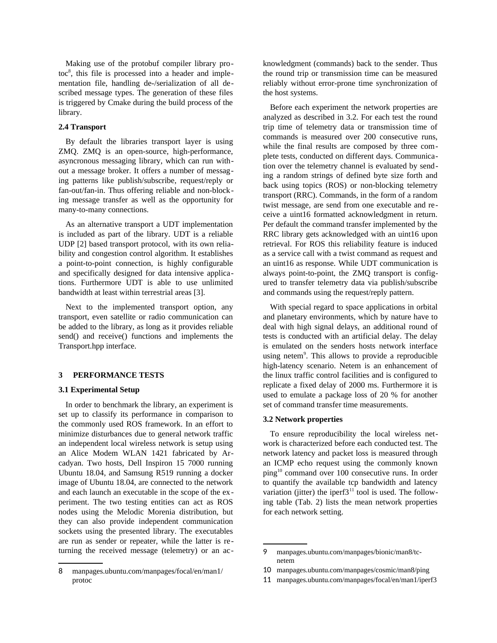Making use of the protobuf compiler library protoc<sup>8</sup>, this file is processed into a header and implementation file, handling de-/serialization of all described message types. The generation of these files is triggered by Cmake during the build process of the library.

## **2.4 Transport**

By default the libraries transport layer is using ZMQ. ZMQ is an open-source, high-performance, asyncronous messaging library, which can run without a message broker. It offers a number of messaging patterns like publish/subscribe, request/reply or fan-out/fan-in. Thus offering reliable and non-blocking message transfer as well as the opportunity for many-to-many connections.

As an alternative transport a UDT implementation is included as part of the library. UDT is a reliable UDP [2] based transport protocol, with its own reliability and congestion control algorithm. It establishes a point-to-point connection, is highly configurable and specifically designed for data intensive applications. Furthermore UDT is able to use unlimited bandwidth at least within terrestrial areas [3].

Next to the implemented transport option, any transport, even satellite or radio communication can be added to the library, as long as it provides reliable send() and receive() functions and implements the Transport.hpp interface.

## **3 PERFORMANCE TESTS**

### **3.1 Experimental Setup**

In order to benchmark the library, an experiment is set up to classify its performance in comparison to the commonly used ROS framework. In an effort to minimize disturbances due to general network traffic an independent local wireless network is setup using an Alice Modem WLAN 1421 fabricated by Arcadyan. Two hosts, Dell Inspiron 15 7000 running Ubuntu 18.04, and Samsung R519 running a docker image of Ubuntu 18.04, are connected to the network and each launch an executable in the scope of the experiment. The two testing entities can act as ROS nodes using the Melodic Morenia distribution, but they can also provide independent communication sockets using the presented library. The executables are run as sender or repeater, while the latter is returning the received message (telemetry) or an acknowledgment (commands) back to the sender. Thus the round trip or transmission time can be measured reliably without error-prone time synchronization of the host systems.

Before each experiment the network properties are analyzed as described in 3.2. For each test the round trip time of telemetry data or transmission time of commands is measured over 200 consecutive runs, while the final results are composed by three complete tests, conducted on different days. Communication over the telemetry channel is evaluated by sending a random strings of defined byte size forth and back using topics (ROS) or non-blocking telemetry transport (RRC). Commands, in the form of a random twist message, are send from one executable and receive a uint16 formatted acknowledgment in return. Per default the command transfer implemented by the RRC library gets acknowledged with an uint16 upon retrieval. For ROS this reliability feature is induced as a service call with a twist command as request and an uint16 as response. While UDT communication is always point-to-point, the ZMQ transport is configured to transfer telemetry data via publish/subscribe and commands using the request/reply pattern.

With special regard to space applications in orbital and planetary environments, which by nature have to deal with high signal delays, an additional round of tests is conducted with an artificial delay. The delay is emulated on the senders hosts network interface using netem<sup>9</sup>. This allows to provide a reproducible high-latency scenario. Netem is an enhancement of the linux traffic control facilities and is configured to replicate a fixed delay of 2000 ms. Furthermore it is used to emulate a package loss of 20 % for another set of command transfer time measurements.

#### **3.2 Network properties**

To ensure reproducibility the local wireless network is characterized before each conducted test. The network latency and packet loss is measured through an ICMP echo request using the commonly known ping<sup>10</sup> command over 100 consecutive runs. In order to quantify the available tcp bandwidth and latency variation (jitter) the iperf $3<sup>11</sup>$  tool is used. The following table (Tab. 2) lists the mean network properties for each network setting.

<sup>8</sup> manpages.ubuntu.com/manpages/focal/en/man1/ protoc

<sup>9</sup> manpages.ubuntu.com/manpages/bionic/man8/tcnetem

<sup>10</sup> manpages.ubuntu.com/manpages/cosmic/man8/ping

<sup>11</sup> manpages.ubuntu.com/manpages/focal/en/man1/iperf3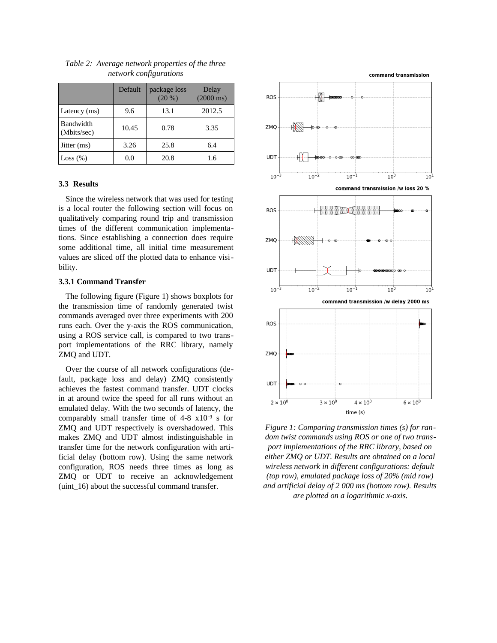|                          | <b>Default</b> | package loss<br>$(20\%)$ | Delay<br>$(2000 \text{ ms})$ |
|--------------------------|----------------|--------------------------|------------------------------|
| Latency (ms)             | 9.6            | 13.1                     | 2012.5                       |
| Bandwidth<br>(Mbits/sec) | 10.45          | 0.78                     | 3.35                         |
| Jitter (ms)              | 3.26           | 25.8                     | 6.4                          |
| Loss $(\%)$              | 0.0            | 20.8                     | 1.6                          |

*Table 2: Average network properties of the three network configurations*

#### **3.3 Results**

Since the wireless network that was used for testing is a local router the following section will focus on qualitatively comparing round trip and transmission times of the different communication implementations. Since establishing a connection does require some additional time, all initial time measurement values are sliced off the plotted data to enhance visibility.

#### **3.3.1 Command Transfer**

The following figure (Figure 1) shows boxplots for the transmission time of randomly generated twist commands averaged over three experiments with 200 runs each. Over the y-axis the ROS communication, using a ROS service call, is compared to two transport implementations of the RRC library, namely ZMQ and UDT.

Over the course of all network configurations (default, package loss and delay) ZMQ consistently achieves the fastest command transfer. UDT clocks in at around twice the speed for all runs without an emulated delay. With the two seconds of latency, the comparably small transfer time of  $4-8 \times 10^{-3}$  s for ZMQ and UDT respectively is overshadowed. This makes ZMQ and UDT almost indistinguishable in transfer time for the network configuration with artificial delay (bottom row). Using the same network configuration, ROS needs three times as long as ZMQ or UDT to receive an acknowledgement (uint 16) about the successful command transfer.



*Figure 1: Comparing transmission times (s) for random twist commands using ROS or one of two transport implementations of the RRC library, based on either ZMQ or UDT. Results are obtained on a local wireless network in different configurations: default (top row), emulated package loss of 20% (mid row) and artificial delay of 2 000 ms (bottom row). Results are plotted on a logarithmic x-axis.*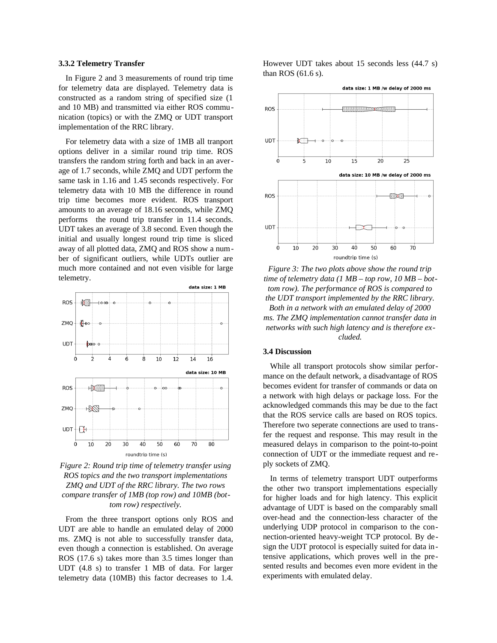### **3.3.2 Telemetry Transfer**

In Figure 2 and 3 measurements of round trip time for telemetry data are displayed. Telemetry data is constructed as a random string of specified size (1 and 10 MB) and transmitted via either ROS communication (topics) or with the ZMQ or UDT transport implementation of the RRC library.

For telemetry data with a size of 1MB all tranport options deliver in a similar round trip time. ROS transfers the random string forth and back in an average of 1.7 seconds, while ZMQ and UDT perform the same task in 1.16 and 1.45 seconds respectively. For telemetry data with 10 MB the difference in round trip time becomes more evident. ROS transport amounts to an average of 18.16 seconds, while ZMQ performs the round trip transfer in 11.4 seconds. UDT takes an average of 3.8 second. Even though the initial and usually longest round trip time is sliced away of all plotted data, ZMQ and ROS show a number of significant outliers, while UDTs outlier are much more contained and not even visible for large telemetry.



*Figure 2: Round trip time of telemetry transfer using ROS topics and the two transport implementations ZMQ and UDT of the RRC library. The two rows compare transfer of 1MB (top row) and 10MB (bottom row) respectively.*

From the three transport options only ROS and UDT are able to handle an emulated delay of 2000 ms. ZMQ is not able to successfully transfer data, even though a connection is established. On average ROS (17.6 s) takes more than 3.5 times longer than UDT (4.8 s) to transfer 1 MB of data. For larger telemetry data (10MB) this factor decreases to 1.4. However UDT takes about 15 seconds less (44.7 s) than ROS (61.6 s).

![](_page_4_Figure_7.jpeg)

*Figure 3: The two plots above show the round trip time of telemetry data (1 MB – top row, 10 MB – bottom row). The performance of ROS is compared to the UDT transport implemented by the RRC library. Both in a network with an emulated delay of 2000 ms. The ZMQ implementation cannot transfer data in networks with such high latency and is therefore excluded.*

### **3.4 Discussion**

While all transport protocols show similar performance on the default network, a disadvantage of ROS becomes evident for transfer of commands or data on a network with high delays or package loss. For the acknowledged commands this may be due to the fact that the ROS service calls are based on ROS topics. Therefore two seperate connections are used to transfer the request and response. This may result in the measured delays in comparison to the point-to-point connection of UDT or the immediate request and reply sockets of ZMQ.

In terms of telemetry transport UDT outperforms the other two transport implementations especially for higher loads and for high latency. This explicit advantage of UDT is based on the comparably small over-head and the connection-less character of the underlying UDP protocol in comparison to the connection-oriented heavy-weight TCP protocol. By design the UDT protocol is especially suited for data intensive applications, which proves well in the presented results and becomes even more evident in the experiments with emulated delay.